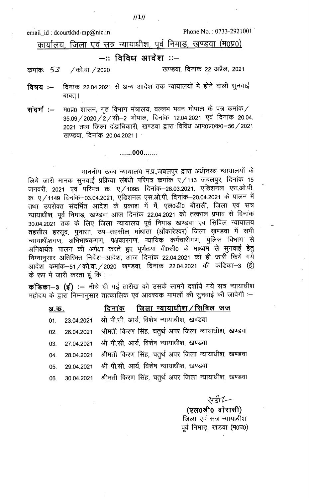email id: dcourtkhd-mp@nic.in

/ को.वा. / 2020

कमांकः 53

Phone No.: 0733-2921001

कार्यालय, जिला एवं सत्र न्यायाधीश, पूर्व निमाड, खण्डवा (म0प्र0)

## –:: विविध आदेश ::–

खण्डवा, दिनांक 22 अप्रैल, 2021

- दिनांक 22.04.2021 से अन्य आदेश तक न्यायालयों में होने वाली सुनवाई विषय :— बाबत् ।
- $-$  म0प्र0 शासन, गृह विभाग मंत्रालय, वल्लभ भवन भोपाल के पत्र कमांक  $\ell$ संदर्भ:-35.09 / 2020 / 2 / सी-2 भोपाल, दिनांक 12.04.2021 एवं दिनांक 20.04. 2021 तथा जिला दंडाधिकारी, खण्डवा द्वारा विविध आप0प्र0क0-56/2021 खण्डवा दिनांक 20.04.2021 ।

......000.......

## माननीय उच्च न्यायालय म.प्र.,जबलपुर द्वारा अधीनस्थ न्यायालयों के लिये जारी मानक सुनवाई प्रक्रिया संबंधी परिपत्र कमांक ए/113 जबलपुर, दिनांक 15 जनवरी, 2021 एवं परिपत्र क्र. ए/1095 दिनांक-26.03.2021, एडिशनल एस.ओ.पी. क्र. ए/1149 दिनांक-03.04.2021, एडिशनल एस.ओ.पी. दिनांक-20.04.2021 के पालन में तथा उपरोक्त संदर्भित आदेश के प्रकाश में मैं, एल0डी0 बौरासी, जिला एवं सत्र न्यायाधीश, पूर्व निमाड़, खण्डवा आज दिनांक 22.04.2021 को तत्काल प्रभाव से दिनांक 30.04.2021 तक के लिए जिला न्यायालय पूर्व निमाड़ खण्डवा एवं सिविल न्यायालय तहसील हरसूद, पुनासा, उप–तहसील माधाता (ओंकारेश्वर) जिला खण्डवा में सभी न्यायाधीशगण, अभिभाषकगण, पक्षकारगण, न्यायिक कर्मचारीगण, पुलिस विभाग से अनिवार्यतः पालन की अपेक्षा करते हुए पूर्णतया वी0सी0 के माध्यम से सुनवाई हेतु निम्नानुसार अतिरिक्त निर्देश-आदेश, आज दिनांक 22.04.2021 को ही जारी किये गये आदेश कमांक-51/को.वा./2020 खण्डवा, दिनांक 22.04.2021 की कंडिका-3 (ई) के रूप में जारी करता हूं कि :-

कंडिका-3 (ई) :- नीचे दी गई तारीख को उसके सामने दर्शाये गये सत्र न्यायाधीश महोदय के द्वारा निम्नानुसार तात्कालिक एवं आवश्यक मामलों की सुनवाई की जावेगी :-

| <u>अ.क.</u> | <u>दिनांक जिला न्यायाधीश/सिविल जज</u>                               |
|-------------|---------------------------------------------------------------------|
|             | 01. 23.04.2021 श्री पी.सी. आर्य, विशेष न्यायाधीश, खण्डवा            |
|             | 02. 26.04.2021 श्रीमती किरण सिंह, चतुर्थ अपर जिला न्यायाधीश, खण्डवा |
|             | 03. 27.04.2021 श्री पी.सी. आर्य, विशेष न्यायाधीश, खण्डवा            |
|             | 04. 28.04.2021 श्रीमती किरण सिंह, चतुर्थ अपर जिला न्यायाधीश, खण्डवा |
|             | 05. 29.04.2021 श्री पी.सी. आर्य, विशेष न्यायाधीश, खण्डवा            |
|             | 06. 30.04.2021 श्रीमती किरण सिंह, चतुर्थ अपर जिला न्यायाधीश, खण्डवा |

सरी —

(एल0डी0 बोरासी) जिला एवं सत्र न्यायाधीश पूर्व निमाड़, खंडवा (म0प्र0)